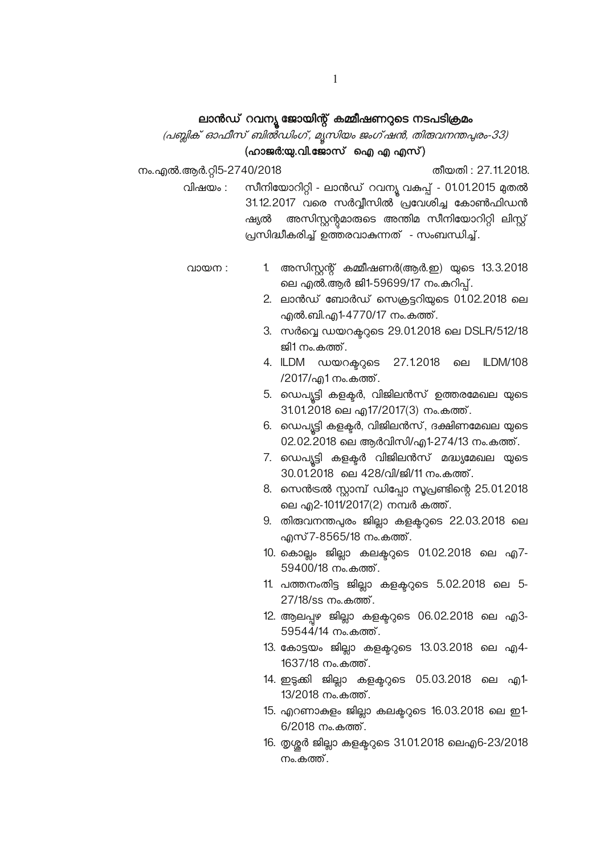# ലാൻഡ് റവന്യൂ ജോയിന്റ് കമ്മീഷണറുടെ നടപടിക്രമം

# (പബ്ലിക് ഓഫീസ് ബിൽഡിംഗ്, മൃസിയം ജംഗ്ഷൻ, തിരുവനന്തപുരം-33) (ഹാജർ:യു.വി.ജോസ് ഐ എ എസ്)

നം.എൽ.ആർ.റ്റി5-2740/2018

തീയതി: 27.11.2018.

സീനിയോറിറ്റി - ലാൻഡ് റവന്യൂ വകുപ്പ് - 01.01.2015 മുതൽ വിഷയം : 31.12.2017 വരെ സർവ്വീസിൽ പ്രവേശിച്ച കോൺഫിഡൻ ഷ്യൽ അസിസ്റ്റന്റമാരുടെ അന്തിമ സീനിയോറിറ്റി ലിസ്റ്റ് പ്രസിദ്ധീകരിച്ച് ഉത്തരവാകന്നത് - സംബന്ധിച്ച്.

- വായന: 1. അസിസ്റ്റന്റ് കമ്മീഷണർ(ആർ.ഇ) യുടെ 13.3.2018 ലെ എൽ.ആർ ജി1-59699/17 നം.കറിപ്.
	- 2. ലാൻഡ് ബോർഡ് സെക്രട്ടറിയുടെ 01.02.2018 ലെ എൽ.ബി.എ1-4770/17 നം.കത്ത്.
	- 3. സർവ്വെ ഡയറക്ടറുടെ 29.01.2018 ലെ DSLR/512/18 ജി1 നം.കത്ത്.
	- 4. ILDM ഡയറക്ററ്റടെ 27.1.2018 ILDM/108 ലെ /2017/എ1 നം.കത്ത്.
	- 5. ഡെപ്യൂട്ടി കളക്ടർ, വിജിലൻസ് ഉത്തരമേഖല യുടെ 31.01.2018 ലെ എ17/2017(3) നം.കത്ത്.
	- 6. ഡെപ്യൂട്ടി കളക്ടർ, വിജിലൻസ്, ദക്ഷിണമേഖല യുടെ 02.02.2018 ലെ ആർവിസി/എ1-274/13 നം.കത്ത്.
	- 7. ഡെപ്യട്ടി കളക്ടർ വിജിലൻസ് മദ്ധ്യമേഖല യുടെ 30.01.2018 ലെ 428/വി/ജി/11 നം.കത്ത്.
	- 8. സെൻട്രൽ സ്റ്റാമ്പ് ഡിപ്പോ സൂപ്രണ്ടിന്റെ 25.01.2018 ലെ എ2-1011/2017(2) നമ്പർ കത്ത്.
	- 9. തിരുവനന്തപുരം ജില്ലാ കളക്ടറുടെ 22.03.2018 ലെ എസ് 7-8565/18 നം.കത്ത്.
	- 10. കൊല്ലം ജില്ലാ കലക്ടറുടെ 01.02.2018 ലെ എ7-59400/18 നം.കത്ത്.
	- 11. പത്തനംതിട്ട ജില്ലാ കളകറുടെ 5.02.2018 ലെ 5-27/18/ss നം.കത്ത്.
	- 12. ആലപ്പഴ ജില്ലാ കളക്ടറുടെ 06.02.2018 ലെ എ3-59544/14 നം.കത്ത്.
	- 13. കോട്ടയം ജില്ലാ കളകറ്റടെ 13.03.2018 ലെ എ4-1637/18 നം.കത്ത്.
	- 14. ഇട്ടക്കി ജില്ലാ കളക്ടറുടെ 05.03.2018 ലെ എ1-13/2018 നം.കത്ത്.
	- 15. എറണാകുളം ജില്ലാ കലക്ടറുടെ 16.03.2018 ലെ ഇ1- $6/2018$  നം.കത്ത്.
	- 16. തൃശ്ശർ ജില്ലാ കളക്ടറുടെ 31.01.2018 ലെഎ6-23/2018 നം.കത്ത്.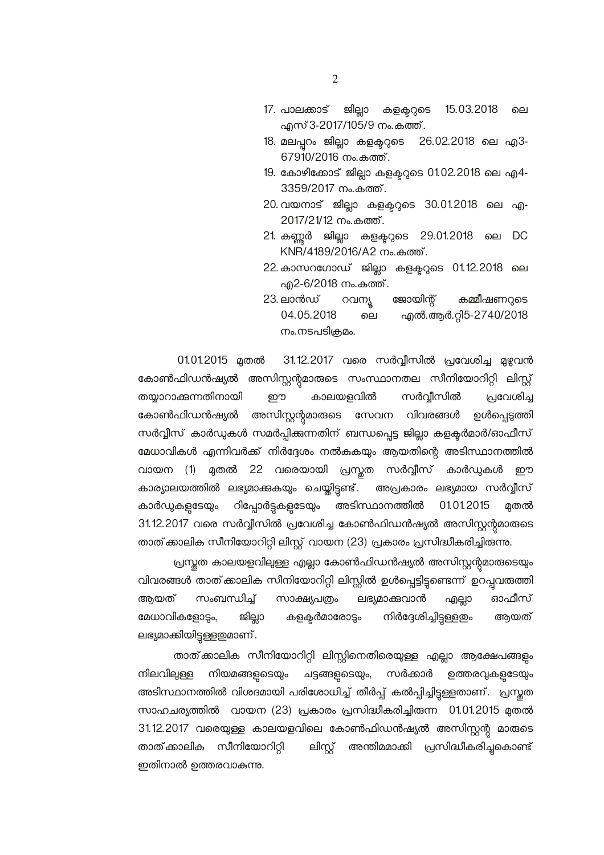- ജില്ലാ കളക്ടറുടെ 17. പാലക്കാട് 15.03.2018 ലെ എസ് 3-2017/105/9 നം.കത്ത്.
- 18. മലപ്പറം ജില്ലാ കളക്ടറുടെ 26.02.2018 ലെ എ3-67910/2016 നം.കത്ത്.
- 19. കോഴിക്കോട് ജില്ലാ കളക്ടറുടെ 01.02.2018 ലെ എ4-3359/2017 നം.കത്ത്.
- 20 വയനാട് ജില്ലാ കളക്ടറുടെ 30.01.2018 ലെ എ-2017/21/12 നം.കത്ത്.
- 21 കണ്ണർ ജില്ലാ കളക്ടറുടെ 29.01.2018 ലെ DC KNR/4189/2016/A2 നം.കത്ത്.
- 22 കാസറഗോഡ് ജില്ലാ കളക്ടറുടെ 01.12.2018 ലെ എ2-6/2018 നം.കത്ത്.
- റവന്യൂ ജോയിന്റ് കമ്മീഷണറുടെ 23. ലാൻഡ് എൽ.ആർ.റ്റി5-2740/2018 04.05.2018 ലെ നം.നടപടിക്രമം.

31.12.2017 വരെ സർവ്വീസിൽ പ്രവേശിച്ച മുഴുവൻ 01.01.2015 മുതൽ കോൺഫിഡൻഷ്യൽ അസിസ്റ്റന്റമാരുടെ സംസ്ഥാനതല സീനിയോറിറ്റി ലിസ്റ്റ് പ്രവേശിച്ച തയ്യാറാക്കുന്നതിനായി ഈ കാലയളവിൽ സർവ്വീസിൽ കോൺഫിഡൻഷ്യൽ അസിസ്റ്റന്റമാരുടെ സേവന വിവരങ്ങൾ ഉൾപ്പെടുത്തി സർവ്വീസ് കാർഡുകൾ സമർപ്പിക്കന്നതിന് ബന്ധപ്പെട്ട ജില്ലാ കളക്ടർമാർ/ഓഫീസ് മേധാവികൾ എന്നിവർക്ക് നിർദ്ദേശം നൽകുകയും ആയതിന്റെ അടിസ്ഥാനത്തിൽ വായന (1) മുതൽ 22 വരെയായി പ്രസ്തത സർവ്വീസ് കാർഡുകൾ ഈ കാര്യാലയത്തിൽ ലഭ്യമാക്കുകയും ചെയ്തിട്ടണ്ട്. അപ്രകാരം ലഭ്യമായ സർവ്വീസ് റിപ്പോർട്ടകളടേയും അടിസ്ഥാനത്തിൽ കാർഡുകളടേയും 01.01.2015 മതൽ 31.12.2017 വരെ സർവ്വീസിൽ പ്രവേശിച്ച കോൺഫിഡൻഷ്യൽ അസിസ്റ്റന്റമാരുടെ താത് കാലിക സീനിയോറിറ്റി ലിസ്റ്റ് വായന (23) പ്രകാരം പ്രസിദ്ധീകരിച്ചിരുന്നു.

പ്രസ്തത കാലയളവിലുള്ള എല്ലാ കോൺഫിഡൻഷ്യൽ അസിസ്റ്റന്റമാരുടെയും വിവരങ്ങൾ താത്.കാലിക സീനിയോറിറ്റി ലിസ്റ്റിൽ ഉൾപ്പെട്ടിട്ടുണ്ടെന്ന് ഉറപ്പവരുത്തി അയത് സംബന്ധിച്ച് സാക്ഷ്യപത്രം ലഭ്യമാക്കുവാൻ ഓഫീസ് എല്ലാ നിർദ്ദേശിച്ചിട്ടുള്ളതും മേധാവികളോട്ടം. ജില്ലാ കളകർമാരോടും അയത് ലഭ്യമാക്കിയിട്ടുള്ളതുമാണ്.

താത് കാലിക സീനിയോറിറ്റി ലിസ്റ്റിനെതിരെയുള്ള എല്ലാ ആക്ഷേപങ്ങളും നിലവില്പള്ള നിയമങ്ങളടെയ്യം ചട്ടങ്ങളടെയും, സർക്കാർ ഉത്തരവുകളടേയും അടിസ്ഥാനത്തിൽ വിശദമായി പരിശോധിച്ച് തീർപ്പ് കൽപ്പിച്ചിട്ടുള്ളതാണ്. പ്രസ്തത സാഹചര്യത്തിൽ വായന (23) പ്രകാരം പ്രസിദ്ധീകരിച്ചിരുന്ന 01.01.2015 മുതൽ 31.12.2017 വരെയുള്ള കാലയളവിലെ കോൺഫിഡൻഷ്യൽ അസിസ്റ്റന്റ മാരുടെ താത് കാലിക സീനിയോറിറ്റി ലിസ്റ്റ് അന്തിമമാക്കി പ്രസിദ്ധീകരിച്ചുകൊണ്ട് ഇതിനാൽ ഉത്തരവാകുന്നു.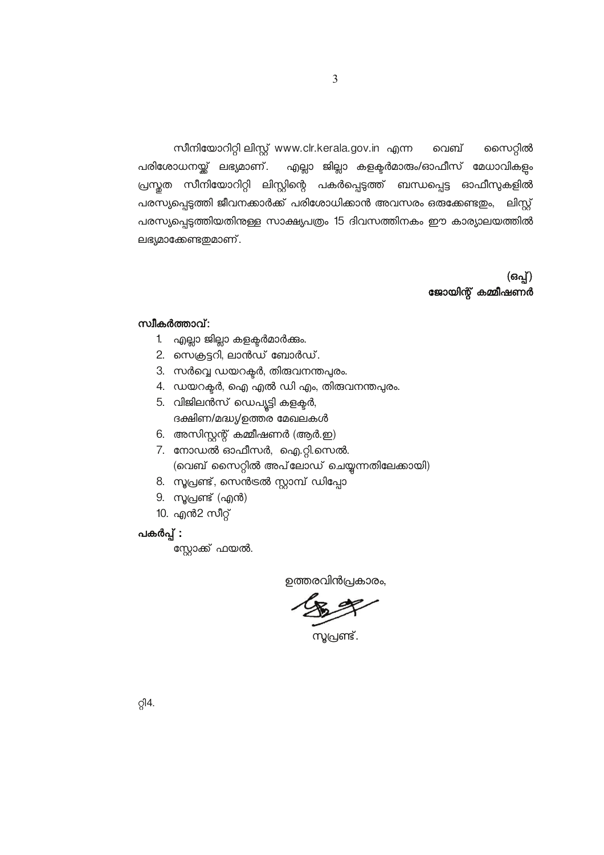സീനിയോറിറ്റി ലിസ്റ്റ് www.clr.kerala.gov.in എന്ന വെബ് സൈറ്റിൽ പരിശോധനയ്ക് ലഭ്യമാണ്. എല്ലാ ജില്ലാ കളക്ടർമാരും/ഓഫീസ് മേധാവികളം പ്രസ്തത സീനിയോറിറ്റി ലിസ്റ്റിന്റെ പകർപ്പെടുത്ത് ബന്ധപ്പെട്ട ഓഫീസുകളിൽ പരസ്യപ്പെടുത്തി ജീവനക്കാർക്ക് പരിശോധിക്കാൻ അവസരം ഒരുക്കേണ്ടതും, ലിസ്റ്റ് പരസ്യപ്പെടുത്തിയതിനുള്ള സാക്ഷ്യപത്രം 15 ദിവസത്തിനകം ഈ കാര്യാലയത്തിൽ ലഭ്യമാക്കേണ്ടതുമാണ്.

> (ഒപ്പ്) ജോയിന്റ് കമ്മീഷണർ

#### സ്വീകർത്താവ്:

- 1. എല്ലാ ജില്ലാ കളക്ടർമാർക്കം.
- 2. സെക്രട്ടറി, ലാൻഡ് ബോർഡ്.
- 3. സർവ്വെ ഡയറക്ടർ, തിരുവനന്തപ്പരം.
- 4. ഡയറക്ടർ, ഐ എൽ ഡി എം, തിരുവനന്തപുരം.
- 5. വിജിലൻസ് ഡെപ്യൂട്ടി കളക്ടർ, ദക്ഷിണ/മദ്ധ്യ/ഉത്തര മേഖലകൾ
- 6. അസിസ്റ്റന്റ് കമ്മീഷണർ (ആർ.ഇ)
- 7. നോഡൽ ഓഫീസർ, ഐ.റ്റി.സെൽ. (വെബ് സൈറ്റിൽ അപ്ലോഡ് ചെയ്യന്നതിലേക്കായി)
- 8. സൂപ്രണ്ട്, സെൻട്രൽ സ്റ്റാമ്പ് ഡിപ്പോ
- 9. സൂപ്രണ്ട് (എൻ)
- 10. എൻ2 സീറ്റ്

#### പകർപ്പ് :

സ്റ്റോക്ക് ഫയൽ.

ഉത്തരവിൻപ്രകാരം,

സൂപ്രണ്ട്.

 $Q<sup>14</sup>$ .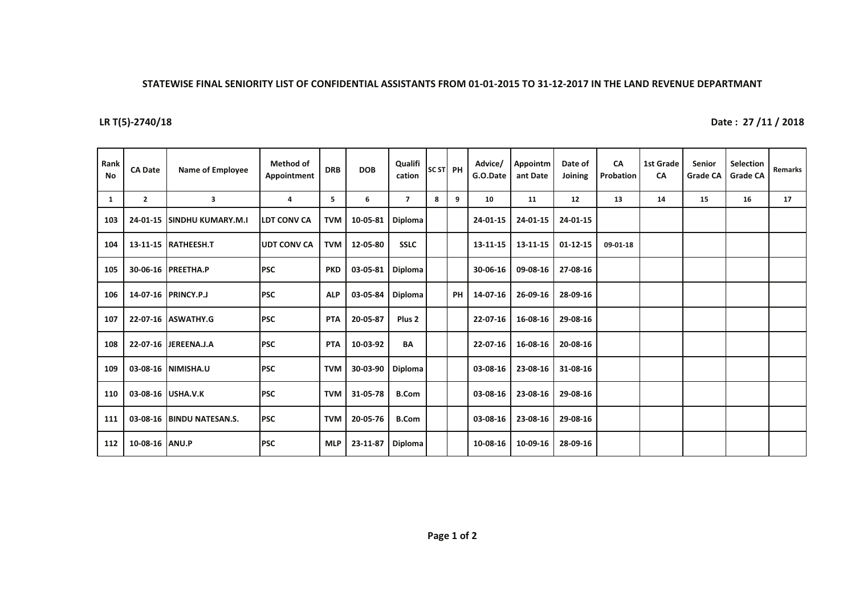## STATEWISE FINAL SENIORITY LIST OF CONFIDENTIAL ASSISTANTS FROM 01-01-2015 TO 31-12-2017 IN THE LAND REVENUE DEPARTMANT

## **LR T(5)-2740/18**

Date: 27 /11 / 2018

| Rank<br>No | <b>CA Date</b> | <b>Name of Employee</b>   | Method of<br>Appointment | <b>DRB</b> | <b>DOB</b> | Qualifi<br>cation | SC ST PH |           | Advice/<br>G.O.Date | Appointm<br>ant Date | Date of<br>Joining | CA<br>Probation | <b>1st Grade</b><br>CA | <b>Senior</b><br><b>Grade CA</b> | <b>Selection</b><br><b>Grade CA</b> | Remarks |
|------------|----------------|---------------------------|--------------------------|------------|------------|-------------------|----------|-----------|---------------------|----------------------|--------------------|-----------------|------------------------|----------------------------------|-------------------------------------|---------|
| 1          | $\mathbf{2}$   | 3                         | 4                        | 5          | 6          | $\overline{7}$    | 8        | 9         | 10                  | 11                   | 12                 | 13              | 14                     | 15                               | 16                                  | 17      |
| 103        | 24-01-15       | <b>ISINDHU KUMARY.M.I</b> | <b>LDT CONV CA</b>       | <b>TVM</b> | 10-05-81   | <b>Diploma</b>    |          |           | 24-01-15            | 24-01-15             | 24-01-15           |                 |                        |                                  |                                     |         |
| 104        |                | 13-11-15 RATHEESH.T       | <b>IUDT CONV CA</b>      | <b>TVM</b> | 12-05-80   | <b>SSLC</b>       |          |           | 13-11-15            | 13-11-15             | $01 - 12 - 15$     | 09-01-18        |                        |                                  |                                     |         |
| 105        |                | 30-06-16 PREETHA.P        | <b>PSC</b>               | <b>PKD</b> | 03-05-81   | Diploma           |          |           | 30-06-16            | 09-08-16             | 27-08-16           |                 |                        |                                  |                                     |         |
| 106        |                | 14-07-16 PRINCY.P.J       | <b>PSC</b>               | <b>ALP</b> | 03-05-84   | Diploma           |          | <b>PH</b> | 14-07-16            | 26-09-16             | 28-09-16           |                 |                        |                                  |                                     |         |
| 107        |                | 22-07-16 ASWATHY.G        | <b>PSC</b>               | <b>PTA</b> | 20-05-87   | Plus <sub>2</sub> |          |           | 22-07-16            | 16-08-16             | 29-08-16           |                 |                        |                                  |                                     |         |
| 108        |                | 22-07-16 JEREENA.J.A      | <b>PSC</b>               | <b>PTA</b> | 10-03-92   | <b>BA</b>         |          |           | 22-07-16            | 16-08-16             | 20-08-16           |                 |                        |                                  |                                     |         |
| 109        | 03-08-16       | NIMISHA.U                 | <b>PSC</b>               | <b>TVM</b> | 30-03-90   | Diploma           |          |           | 03-08-16            | 23-08-16             | 31-08-16           |                 |                        |                                  |                                     |         |
| 110        | 03-08-16       | USHA.V.K                  | <b>PSC</b>               | <b>TVM</b> | 31-05-78   | <b>B.Com</b>      |          |           | 03-08-16            | 23-08-16             | 29-08-16           |                 |                        |                                  |                                     |         |
| 111        | 03-08-16       | <b>BINDU NATESAN.S.</b>   | <b>PSC</b>               | <b>TVM</b> | 20-05-76   | <b>B.Com</b>      |          |           | 03-08-16            | 23-08-16             | 29-08-16           |                 |                        |                                  |                                     |         |
| 112        | 10-08-16 ANU.P |                           | <b>PSC</b>               | <b>MLP</b> | 23-11-87   | Diploma           |          |           | 10-08-16            | 10-09-16             | 28-09-16           |                 |                        |                                  |                                     |         |